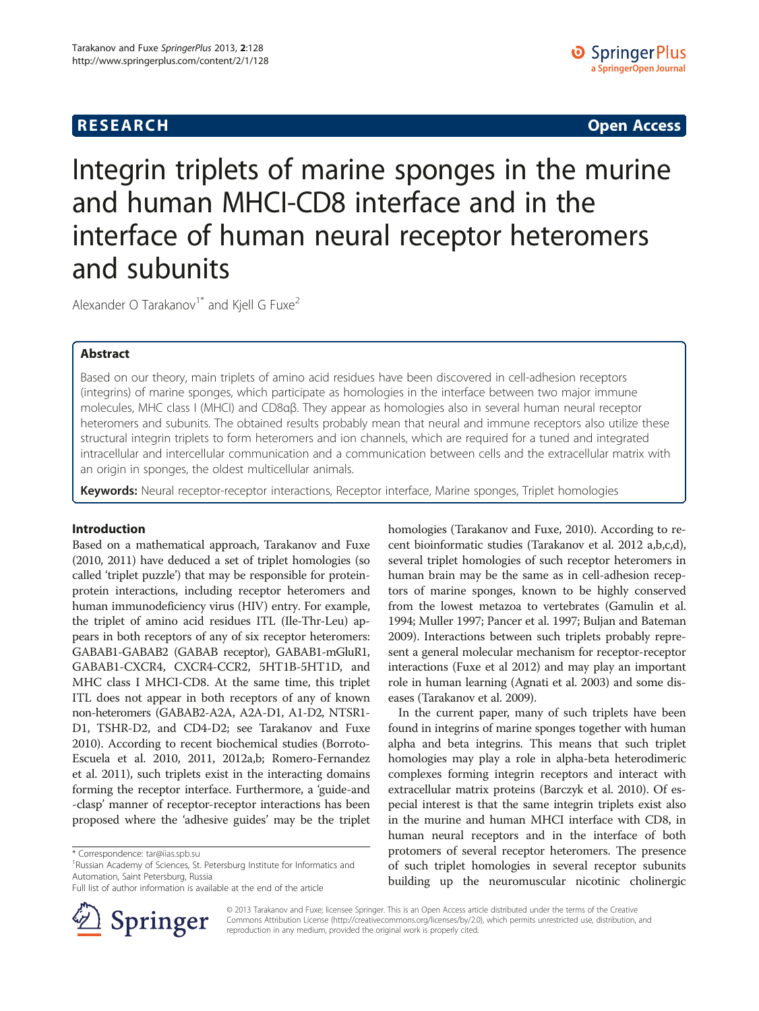**RESEARCH CHINESE ARCH CHINESE ARCH CHINESE ARCH <b>CHINESE ARCH** 

# Integrin triplets of marine sponges in the murine and human MHCI-CD8 interface and in the interface of human neural receptor heteromers and subunits

Alexander O Tarakanov<sup>1\*</sup> and Kjell G Fuxe<sup>2</sup>

# Abstract

Based on our theory, main triplets of amino acid residues have been discovered in cell-adhesion receptors (integrins) of marine sponges, which participate as homologies in the interface between two major immune molecules, MHC class I (MHCI) and CD8αβ. They appear as homologies also in several human neural receptor heteromers and subunits. The obtained results probably mean that neural and immune receptors also utilize these structural integrin triplets to form heteromers and ion channels, which are required for a tuned and integrated intracellular and intercellular communication and a communication between cells and the extracellular matrix with an origin in sponges, the oldest multicellular animals.

Keywords: Neural receptor-receptor interactions, Receptor interface, Marine sponges, Triplet homologies

# Introduction

Based on a mathematical approach, Tarakanov and Fuxe ([2010, 2011\)](#page-6-0) have deduced a set of triplet homologies (so called 'triplet puzzle') that may be responsible for proteinprotein interactions, including receptor heteromers and human immunodeficiency virus (HIV) entry. For example, the triplet of amino acid residues ITL (Ile-Thr-Leu) appears in both receptors of any of six receptor heteromers: GABAB1-GABAB2 (GABAB receptor), GABAB1-mGluR1, GABAB1-CXCR4, CXCR4-CCR2, 5HT1B-5HT1D, and MHC class I MHCI-CD8. At the same time, this triplet ITL does not appear in both receptors of any of known non-heteromers (GABAB2-A2A, A2A-D1, A1-D2, NTSR1- D1, TSHR-D2, and CD4-D2; see Tarakanov and Fuxe [2010\)](#page-6-0). According to recent biochemical studies (Borroto-Escuela et al. [2010, 2011, 2012a](#page-6-0),[b;](#page-6-0) Romero-Fernandez et al. [2011](#page-6-0)), such triplets exist in the interacting domains forming the receptor interface. Furthermore, a 'guide-and -clasp' manner of receptor-receptor interactions has been proposed where the 'adhesive guides' may be the triplet

Full list of author information is available at the end of the article



homologies (Tarakanov and Fuxe, [2010](#page-6-0)). According to recent bioinformatic studies (Tarakanov et al. [2012 a](#page-6-0),[b,c](#page-6-0)[,d](#page-7-0)), several triplet homologies of such receptor heteromers in human brain may be the same as in cell-adhesion receptors of marine sponges, known to be highly conserved from the lowest metazoa to vertebrates (Gamulin et al. [1994;](#page-6-0) Muller [1997;](#page-6-0) Pancer et al. [1997](#page-6-0); Buljan and Bateman [2009\)](#page-6-0). Interactions between such triplets probably represent a general molecular mechanism for receptor-receptor interactions (Fuxe et al [2012](#page-6-0)) and may play an important role in human learning (Agnati et al. [2003](#page-6-0)) and some diseases (Tarakanov et al. [2009](#page-6-0)).

In the current paper, many of such triplets have been found in integrins of marine sponges together with human alpha and beta integrins. This means that such triplet homologies may play a role in alpha-beta heterodimeric complexes forming integrin receptors and interact with extracellular matrix proteins (Barczyk et al. [2010](#page-6-0)). Of especial interest is that the same integrin triplets exist also in the murine and human MHCI interface with CD8, in human neural receptors and in the interface of both protomers of several receptor heteromers. The presence of such triplet homologies in several receptor subunits building up the neuromuscular nicotinic cholinergic

© 2013 Tarakanov and Fuxe; licensee Springer. This is an Open Access article distributed under the terms of the Creative Commons Attribution License (<http://creativecommons.org/licenses/by/2.0>), which permits unrestricted use, distribution, and reproduction in any medium, provided the original work is properly cited.

<sup>\*</sup> Correspondence: [tar@iias.spb.su](mailto:tar@iias.spb.su) <sup>1</sup>

<sup>&</sup>lt;sup>1</sup>Russian Academy of Sciences, St. Petersburg Institute for Informatics and Automation, Saint Petersburg, Russia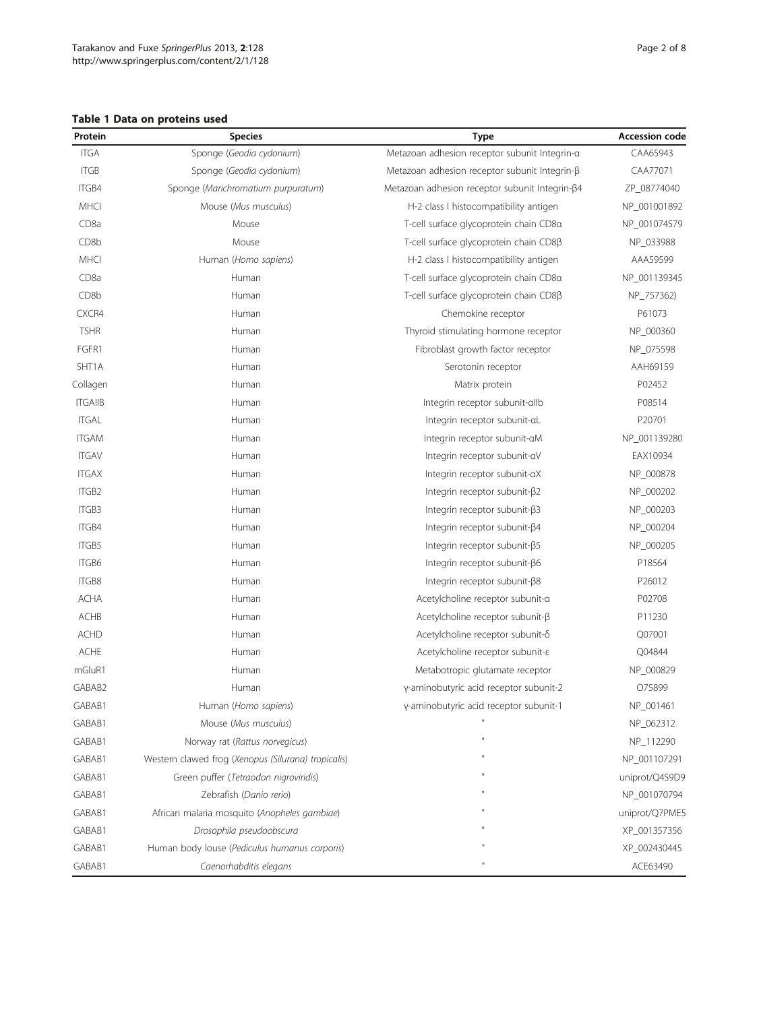# <span id="page-1-0"></span>Table 1 Data on proteins used

| Protein           | <b>Species</b>                                      | Type                                                 | <b>Accession code</b> |
|-------------------|-----------------------------------------------------|------------------------------------------------------|-----------------------|
| <b>ITGA</b>       | Sponge (Geodia cydonium)                            | Metazoan adhesion receptor subunit Integrin-a        | CAA65943              |
| <b>ITGB</b>       | Sponge (Geodia cydonium)                            | Metazoan adhesion receptor subunit Integrin- $\beta$ | CAA77071              |
| ITGB4             | Sponge (Marichromatium purpuratum)                  | Metazoan adhesion receptor subunit Integrin-β4       | ZP_08774040           |
| MHCI              | Mouse (Mus musculus)                                | H-2 class I histocompatibility antigen               | NP_001001892          |
| CD <sub>8a</sub>  | Mouse                                               | T-cell surface glycoprotein chain CD8a               | NP_001074579          |
| CD <sub>8</sub> b | Mouse                                               | T-cell surface glycoprotein chain CD8ß               | NP_033988             |
| <b>MHCI</b>       | Human (Homo sapiens)                                | H-2 class I histocompatibility antigen               | AAA59599              |
| CD <sub>8a</sub>  | Human                                               | T-cell surface glycoprotein chain CD8a               | NP_001139345          |
| CD8b              | Human                                               | T-cell surface glycoprotein chain CD8ß               | NP_757362)            |
| CXCR4             | Human                                               | Chemokine receptor                                   | P61073                |
| <b>TSHR</b>       | Human                                               | Thyroid stimulating hormone receptor                 | NP_000360             |
| FGFR1             | Human                                               | Fibroblast growth factor receptor                    | NP_075598             |
| 5HT1A             | Human                                               | Serotonin receptor                                   | AAH69159              |
| Collagen          | Human                                               | Matrix protein                                       | P02452                |
| <b>ITGAIIB</b>    | Human                                               | Integrin receptor subunit-allb                       | P08514                |
| <b>ITGAL</b>      | Human                                               | Integrin receptor subunit-aL                         | P20701                |
| <b>ITGAM</b>      | Human                                               | Integrin receptor subunit-aM                         | NP_001139280          |
| <b>ITGAV</b>      | Human                                               | Integrin receptor subunit-aV                         | EAX10934              |
| <b>ITGAX</b>      | Human                                               | Integrin receptor subunit-aX                         | NP_000878             |
| ITGB <sub>2</sub> | Human                                               | Integrin receptor subunit-ß2                         | NP_000202             |
| ITGB3             | Human                                               | Integrin receptor subunit-ß3                         | NP_000203             |
| ITGB4             | Human                                               | Integrin receptor subunit-ß4                         | NP_000204             |
| ITGB5             | Human                                               | Integrin receptor subunit-ß5                         | NP_000205             |
| ITGB6             | Human                                               | Integrin receptor subunit-β6                         | P18564                |
| ITGB8             | Human                                               | Integrin receptor subunit- <sub>B8</sub>             | P26012                |
| ACHA              | Human                                               | Acetylcholine receptor subunit-a                     | P02708                |
| ACHB              | Human                                               | Acetylcholine receptor subunit-β                     | P11230                |
| <b>ACHD</b>       | Human                                               | Acetylcholine receptor subunit-8                     | Q07001                |
| <b>ACHE</b>       | Human                                               | Acetylcholine receptor subunit-&                     | Q04844                |
| mGluR1            | Human                                               | Metabotropic glutamate receptor                      | NP_000829             |
| GABAB2            | Human                                               | y-aminobutyric acid receptor subunit-2               | O75899                |
| GABAB1            | Human (Homo sapiens)                                | y-aminobutyric acid receptor subunit-1               | NP_001461             |
| GABAB1            | Mouse (Mus musculus)                                |                                                      | NP_062312             |
| GABAB1            | Norway rat (Rattus norvegicus)                      |                                                      | NP_112290             |
| GABAB1            | Western clawed frog (Xenopus (Silurana) tropicalis) |                                                      | NP_001107291          |
| GABAB1            | Green puffer (Tetraodon nigroviridis)               |                                                      | uniprot/Q4S9D9        |
| GABAB1            | Zebrafish (Danio rerio)                             |                                                      | NP_001070794          |
| GABAB1            | African malaria mosquito (Anopheles gambiae)        |                                                      | uniprot/Q7PME5        |
| GABAB1            | Drosophila pseudoobscura                            |                                                      | XP_001357356          |
| GABAB1            | Human body louse (Pediculus humanus corporis)       |                                                      | XP_002430445          |
| GABAB1            | Caenorhabditis elegans                              |                                                      | ACE63490              |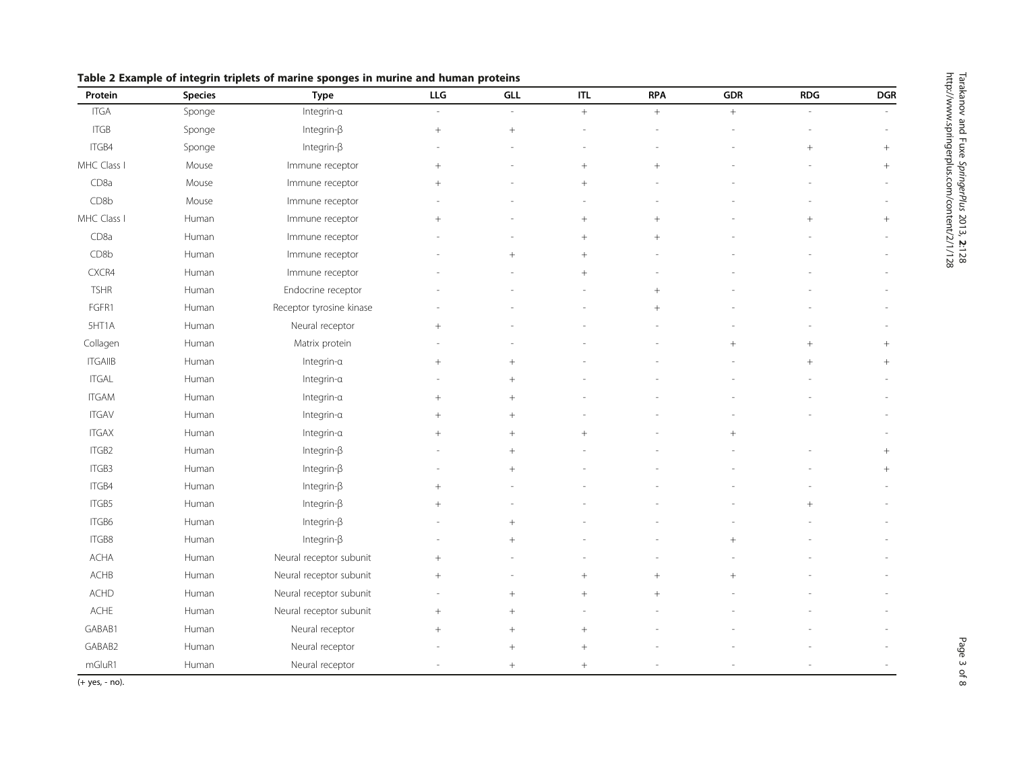| Protein          | <b>Species</b> | <b>Type</b>              | LLG    | GLL             | <b>ITL</b> | <b>RPA</b> | <b>GDR</b> | <b>RDG</b> | <b>DGR</b> |
|------------------|----------------|--------------------------|--------|-----------------|------------|------------|------------|------------|------------|
| <b>ITGA</b>      | Sponge         | Integrin-a               | i.     | $\overline{a}$  | $^{+}$     | $+$        | $\, +$     |            |            |
| <b>ITGB</b>      | Sponge         | Integrin- $\beta$        | $^{+}$ | $^{+}$          |            |            |            |            |            |
| ITGB4            | Sponge         | Integrin- $\beta$        |        |                 |            |            |            | $\! +$     | $\! +$     |
| MHC Class I      | Mouse          | Immune receptor          | $^{+}$ |                 | $^{+}$     | $^{+}$     |            |            | $\! +$     |
| CD <sub>8a</sub> | Mouse          | Immune receptor          | $^{+}$ |                 | $^{+}$     |            |            |            |            |
| CD8b             | Mouse          | Immune receptor          |        |                 |            |            |            |            |            |
| MHC Class I      | Human          | Immune receptor          | $^{+}$ |                 | $^{+}$     | $^{+}$     |            | $\ddot{}$  | $^{+}$     |
| CD <sub>8a</sub> | Human          | Immune receptor          |        |                 | $^{+}$     | $^{+}$     |            |            |            |
| CD8b             | Human          | Immune receptor          |        | $^{+}$          | $\ddot{}$  |            |            |            |            |
| CXCR4            | Human          | Immune receptor          |        |                 | $^{+}$     |            |            |            |            |
| <b>TSHR</b>      | Human          | Endocrine receptor       |        |                 |            | $^{+}$     |            |            |            |
| FGFR1            | Human          | Receptor tyrosine kinase |        |                 |            | $\ddot{}$  |            |            |            |
| 5HT1A            | Human          | Neural receptor          | $^{+}$ |                 |            |            |            |            |            |
| Collagen         | Human          | Matrix protein           |        |                 |            |            | $+$        | $+$        | $^{+}$     |
| <b>ITGAIIB</b>   | Human          | Integrin-a               | $+$    | $^{+}$          |            |            |            | $+$        | $^{+}$     |
| <b>ITGAL</b>     | Human          | Integrin-a               |        | $+$             |            |            |            |            |            |
| <b>ITGAM</b>     | Human          | Integrin-a               | $^{+}$ | $+$             |            |            |            |            |            |
| <b>ITGAV</b>     | Human          | Integrin-a               | $^{+}$ | $+$             |            |            |            |            |            |
| <b>ITGAX</b>     | Human          | Integrin-a               |        | $^{+}$          | $^{+}$     |            | $^{+}$     |            |            |
| ITGB2            | Human          | Integrin- $\beta$        |        | $+$             |            |            |            |            | $^{+}$     |
| ITGB3            | Human          | Integrin- $\beta$        |        | $^{+}$          |            |            |            |            | $^{+}$     |
| ITGB4            | Human          | Integrin- $\beta$        | $^{+}$ |                 |            |            |            |            |            |
| ITGB5            | Human          | Integrin- $\beta$        | $^{+}$ |                 |            |            |            | $+$        |            |
| ITGB6            | Human          | Integrin- $\beta$        |        | $^{+}$          |            |            |            |            |            |
| ITGB8            | Human          | Integrin- $\beta$        |        | $\! + \!\!\!\!$ |            |            | $^{+}$     |            |            |
| <b>ACHA</b>      | Human          | Neural receptor subunit  | $+$    |                 |            |            |            |            |            |
| ACHB             | Human          | Neural receptor subunit  | $+$    |                 | $^{+}$     | $^{+}$     | $^{+}$     |            |            |
| ACHD             | Human          | Neural receptor subunit  |        | $+$             | $^{+}$     | $^{+}$     |            |            |            |
| ACHE             | Human          | Neural receptor subunit  | $^{+}$ | $+$             |            |            |            |            |            |
| GABAB1           | Human          | Neural receptor          | $^{+}$ | $^{+}$          | $^{+}$     |            |            |            |            |
| GABAB2           | Human          | Neural receptor          |        | $^{+}$          | $^{+}$     |            |            |            |            |
| mGluR1           | Human          | Neural receptor          |        | $^{+}$          | $+$        |            |            |            |            |

<span id="page-2-0"></span>Table 2 Example of integrin triplets of marine sponges in murine and human proteins

(+ yes, - no).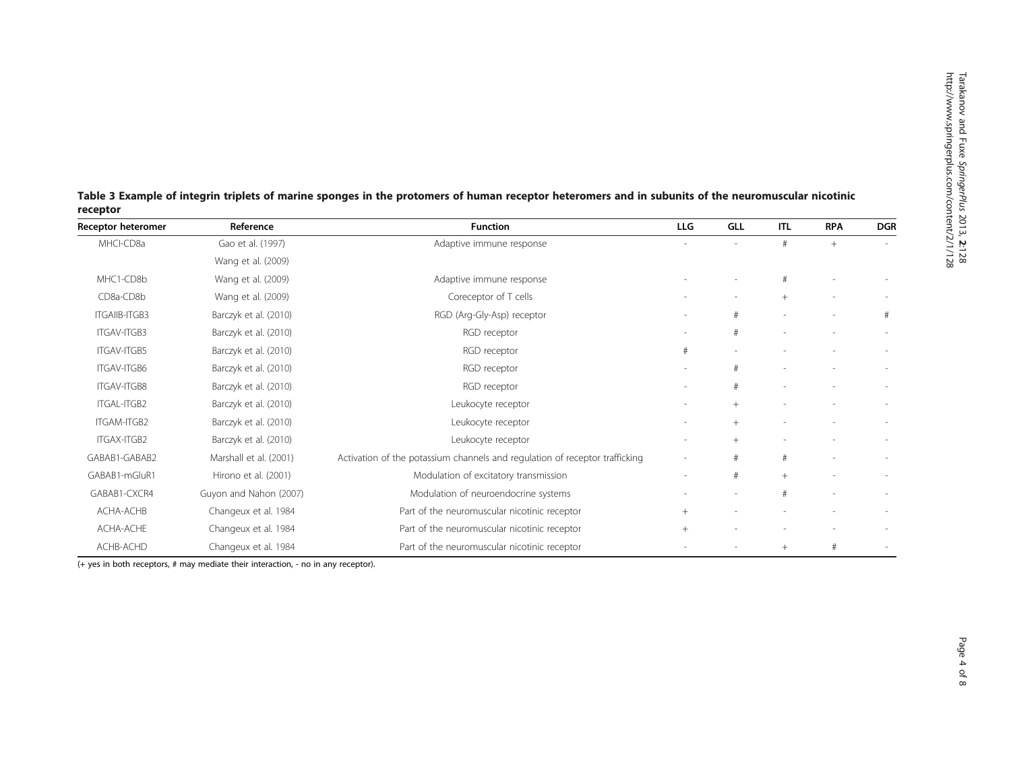| receptor             |                        |                                                                             |                          |        |                          |            |                          |
|----------------------|------------------------|-----------------------------------------------------------------------------|--------------------------|--------|--------------------------|------------|--------------------------|
| Receptor heteromer   | Reference              | <b>Function</b>                                                             | <b>LLG</b>               | GLL    | <b>ITL</b>               | <b>RPA</b> | <b>DGR</b>               |
| MHCI-CD8a            | Gao et al. (1997)      | Adaptive immune response                                                    |                          |        | #                        | $+$        | $\sim$                   |
|                      | Wang et al. (2009)     |                                                                             |                          |        |                          |            |                          |
| MHC1-CD8b            | Wang et al. (2009)     | Adaptive immune response                                                    |                          |        | #                        |            |                          |
| CD8a-CD8b            | Wang et al. (2009)     | Coreceptor of T cells                                                       | $\overline{\phantom{a}}$ |        | $+$                      |            |                          |
| <b>ITGAIIB-ITGB3</b> | Barczyk et al. (2010)  | RGD (Arg-Gly-Asp) receptor                                                  |                          | #      | $\overline{\phantom{a}}$ |            | #                        |
| ITGAV-ITGB3          | Barczyk et al. (2010)  | RGD receptor                                                                | $\sim$                   | #      | ٠                        |            | $\overline{\phantom{a}}$ |
| <b>ITGAV-ITGB5</b>   | Barczyk et al. (2010)  | RGD receptor                                                                | #                        |        |                          |            |                          |
| <b>ITGAV-ITGB6</b>   | Barczyk et al. (2010)  | RGD receptor                                                                |                          |        |                          |            |                          |
| <b>ITGAV-ITGB8</b>   | Barczyk et al. (2010)  | RGD receptor                                                                |                          |        |                          |            |                          |
| ITGAL-ITGB2          | Barczyk et al. (2010)  | Leukocyte receptor                                                          |                          | $+$    |                          |            |                          |
| ITGAM-ITGB2          | Barczyk et al. (2010)  | Leukocyte receptor                                                          |                          | $^{+}$ |                          |            |                          |
| ITGAX-ITGB2          | Barczyk et al. (2010)  | Leukocyte receptor                                                          |                          | $^{+}$ |                          |            |                          |
| GABAB1-GABAB2        | Marshall et al. (2001) | Activation of the potassium channels and regulation of receptor trafficking |                          |        | #                        |            |                          |
| GABAB1-mGluR1        | Hirono et al. (2001)   | Modulation of excitatory transmission                                       | $\overline{\phantom{a}}$ | #      | $+$                      |            |                          |
| GABAB1-CXCR4         | Guyon and Nahon (2007) | Modulation of neuroendocrine systems                                        |                          |        | #                        |            |                          |
| ACHA-ACHB            | Changeux et al. 1984   | Part of the neuromuscular nicotinic receptor                                | $^{+}$                   |        |                          |            |                          |
| ACHA-ACHE            | Changeux et al. 1984   | Part of the neuromuscular nicotinic receptor                                | $+$                      |        |                          |            |                          |

ACHB-ACHD Changeux et al. [1984](#page-6-0) Part of the neuromuscular nicotinic receptor - - + + # - -

<span id="page-3-0"></span>Table 3 Example of integrin triplets of marine sponges in the protomers of human receptor heteromers and in subunits of the neuromuscular nicotinic receptor

(+ yes in both receptors, # may mediate their interaction, - no in any receptor).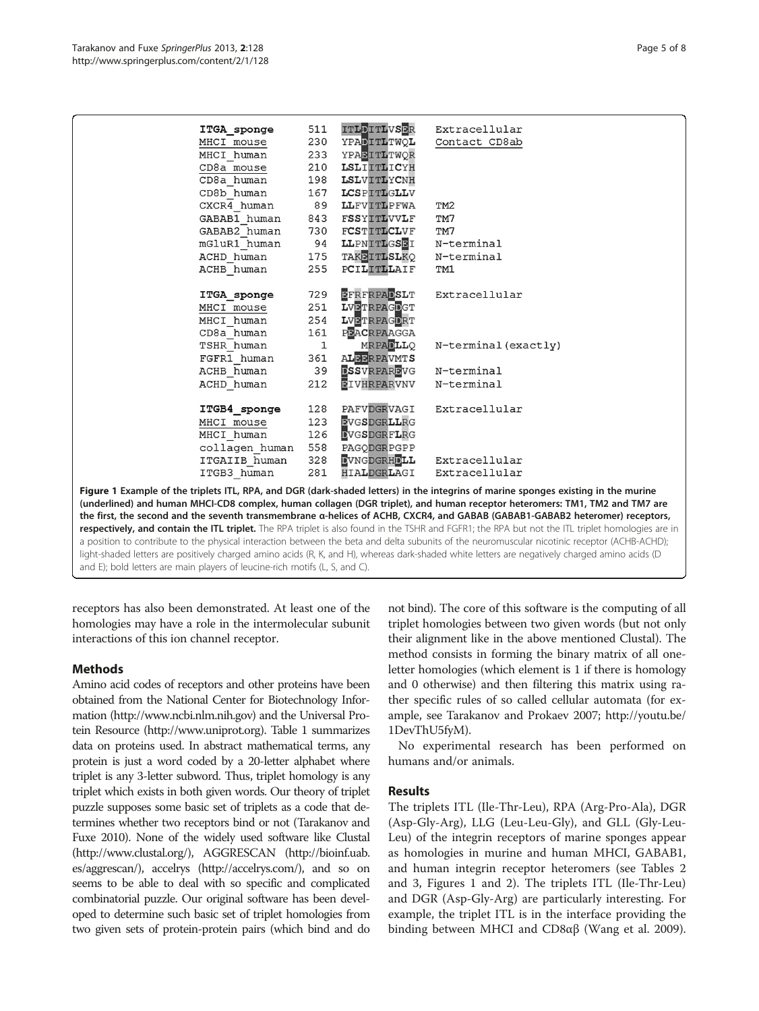<span id="page-4-0"></span>

| ITGA sponge                 | 511         | ITLDITLVSER        | Extracellular                                                                                                                      |
|-----------------------------|-------------|--------------------|------------------------------------------------------------------------------------------------------------------------------------|
| MHCI mouse                  |             | 230 YPADITLTWQL    | Contact CD8ab                                                                                                                      |
| MHCI human                  |             | 233 YPABITLTWOR    |                                                                                                                                    |
| CD8a mouse                  |             | 210 LSLIITLICYH    |                                                                                                                                    |
| CD8a human                  |             | 198 LSLVITLYCNH    |                                                                                                                                    |
| CD8b human                  |             | 167 LCSPITLGLLV    |                                                                                                                                    |
| CXCR4 human                 |             | 89 LLFVITLPFWA     | TM <sub>2</sub>                                                                                                                    |
| GABAB1 human                |             | 843 FSSYITLVVLF    | TM7                                                                                                                                |
| GABAB2 human                |             | 730 FCSTITLCLVF    | TM7                                                                                                                                |
| mGluR1 human 94 LLPNITLGSBI |             |                    | N-terminal                                                                                                                         |
| ACHD human                  |             | 175 TAKEITLSLKQ    | N-terminal                                                                                                                         |
| ACHB human                  |             | 255 PCILITLLAIF    | TM1                                                                                                                                |
|                             |             |                    |                                                                                                                                    |
| ITGA sponge                 |             | 729 EFRFRPADSLT    | Extracellular                                                                                                                      |
| MHCI mouse                  |             | 251 LVETRPAGDGT    |                                                                                                                                    |
| MHCI human                  |             | 254 LVETRPAGDRT    |                                                                                                                                    |
| CD8a human                  |             | 161 PBACRPAAGGA    |                                                                                                                                    |
| TSHR human                  | $\mathbf 1$ | <b>MRPADLLQ</b>    | N-terminal (exactly)                                                                                                               |
| FGFR1 human                 |             | 361 ALBERPAVMTS    |                                                                                                                                    |
| ACHB human                  |             | 39 ESSVRPAREVG     | N-terminal                                                                                                                         |
| ACHD human                  | 212         | <b>EIVHRPARVNV</b> | N-terminal                                                                                                                         |
|                             |             |                    |                                                                                                                                    |
| <b>ITGB4_sponge</b>         |             | 128 PAFVDGRVAGI    | Extracellular                                                                                                                      |
| MHCI mouse                  | 123         | <b>EVGSDGRLLRG</b> |                                                                                                                                    |
| MHCI human                  |             | 126 DVGSDGRFLRG    |                                                                                                                                    |
| collagen human              |             | 558 PAGODGRPGPP    |                                                                                                                                    |
| ITGAIIB human               | 328         |                    | DVNGDGRHDLL Extracellular                                                                                                          |
| ITGB3 human                 | 281         | HIALDGRLAGI        | Extracellular                                                                                                                      |
|                             |             |                    |                                                                                                                                    |
|                             |             |                    | Figure 1 Example of the triplets ITL, RPA, and DGR (dark-shaded letters) in the integrins of marine sponges existing in the murine |
|                             |             |                    |                                                                                                                                    |

(underlined) and human MHCI-CD8 complex, human collagen (DGR triplet), and human receptor heteromers: TM1, TM2 and TM7 are the first, the second and the seventh transmembrane α-helices of ACHB, CXCR4, and GABAB (GABAB1-GABAB2 heteromer) receptors, respectively, and contain the ITL triplet. The RPA triplet is also found in the TSHR and FGFR1; the RPA but not the ITL triplet homologies are in a position to contribute to the physical interaction between the beta and delta subunits of the neuromuscular nicotinic receptor (ACHB-ACHD); light-shaded letters are positively charged amino acids (R, K, and H), whereas dark-shaded white letters are negatively charged amino acids (D and E); bold letters are main players of leucine-rich motifs (L, S, and C).

receptors has also been demonstrated. At least one of the homologies may have a role in the intermolecular subunit interactions of this ion channel receptor.

# Methods

Amino acid codes of receptors and other proteins have been obtained from the National Center for Biotechnology Information [\(http://www.ncbi.nlm.nih.gov](http://www.ncbi.nlm.nih.gov/)) and the Universal Protein Resource ([http://www.uniprot.org](http://www.uniprot.org/)). Table [1](#page-1-0) summarizes data on proteins used. In abstract mathematical terms, any protein is just a word coded by a 20-letter alphabet where triplet is any 3-letter subword. Thus, triplet homology is any triplet which exists in both given words. Our theory of triplet puzzle supposes some basic set of triplets as a code that determines whether two receptors bind or not (Tarakanov and Fuxe [2010\)](#page-6-0). None of the widely used software like Clustal (<http://www.clustal.org/>), AGGRESCAN ([http://bioinf.uab.](http://bioinf.uab.es/aggrescan/) [es/aggrescan/](http://bioinf.uab.es/aggrescan/)), accelrys [\(http://accelrys.com/\)](http://accelrys.com/), and so on seems to be able to deal with so specific and complicated combinatorial puzzle. Our original software has been developed to determine such basic set of triplet homologies from two given sets of protein-protein pairs (which bind and do

not bind). The core of this software is the computing of all triplet homologies between two given words (but not only their alignment like in the above mentioned Clustal). The method consists in forming the binary matrix of all oneletter homologies (which element is 1 if there is homology and 0 otherwise) and then filtering this matrix using rather specific rules of so called cellular automata (for example, see Tarakanov and Prokaev [2007](#page-6-0); [http://youtu.be/](http://youtu.be/1DevThU5fyM) [1DevThU5fyM\)](http://youtu.be/1DevThU5fyM).

No experimental research has been performed on humans and/or animals.

# Results

The triplets ITL (Ile-Thr-Leu), RPA (Arg-Pro-Ala), DGR (Asp-Gly-Arg), LLG (Leu-Leu-Gly), and GLL (Gly-Leu-Leu) of the integrin receptors of marine sponges appear as homologies in murine and human MHCI, GABAB1, and human integrin receptor heteromers (see Tables [2](#page-2-0) and [3,](#page-3-0) Figures 1 and [2](#page-5-0)). The triplets ITL (Ile-Thr-Leu) and DGR (Asp-Gly-Arg) are particularly interesting. For example, the triplet ITL is in the interface providing the binding between MHCI and CD8αβ (Wang et al. [2009](#page-7-0)).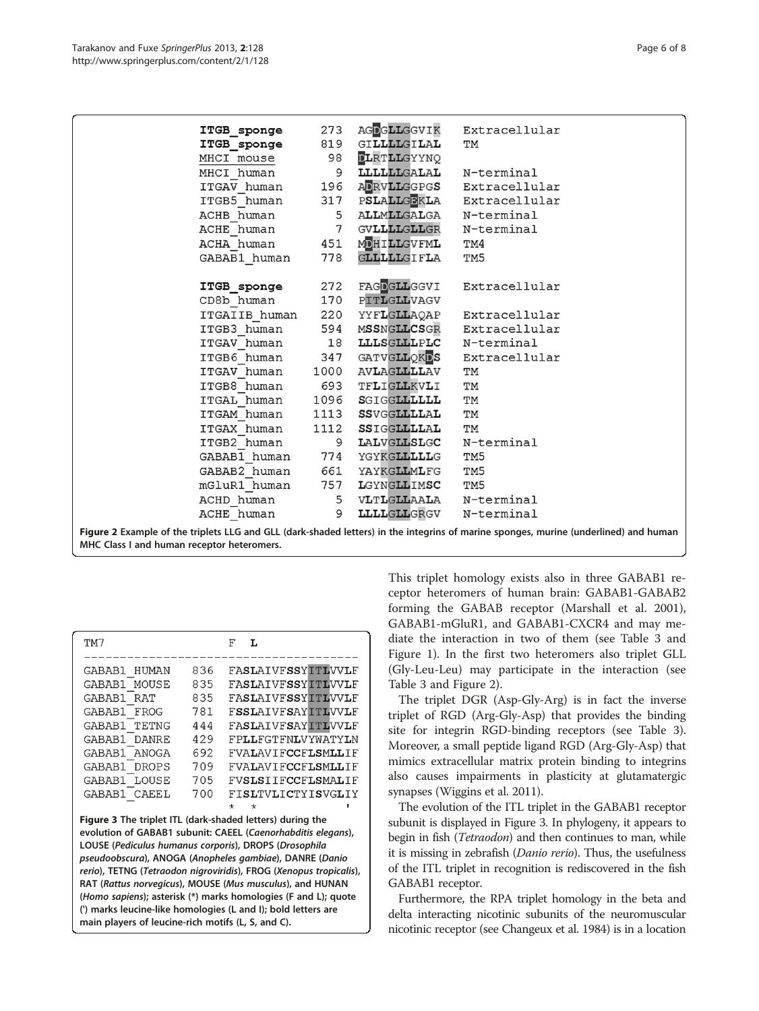<span id="page-5-0"></span>

| ITGB_sponge                | 273          |                              | AGDGLLGGVIK Extracellular     |
|----------------------------|--------------|------------------------------|-------------------------------|
| ITGB sponge                | 819          | GI <b>LLLL</b> GI <b>LAL</b> | TM                            |
| MHCI mouse 98              |              | <b>DLRTLLGYYNQ</b>           |                               |
| MHCI human                 |              | 9 LLLLLLGALAL N-terminal     |                               |
| ITGAV human                |              |                              | 196 ADRVLLGGPGS Extracellular |
| ITGB5 human                |              |                              | 317 PSLALLGEKLA Extracellular |
| ACHB human                 |              | 5 ALLMLLGALGA N-terminal     |                               |
| ACHE human                 |              | 7 GVLLLLGLLGR N-terminal     |                               |
| ACHA human 451 MDHILLGVFML |              |                              | TM4                           |
| GABAB1 human               | 778          | GLLLLLGIFLA                  | TM <sub>5</sub>               |
|                            |              |                              |                               |
| ITGB sponge                |              |                              | 272 FAGDGLLGGVI Extracellular |
| CD8b human                 |              | 170 PITLGLLVAGV              |                               |
| ITGAIIB human 220          |              |                              | YYFLGLLAQAP Extracellular     |
| ITGB3 human                | 594          |                              | MSSNGLLCSGR Extracellular     |
| ITGAV human 18             |              | LLLSGLLLPLC N-terminal       |                               |
| ITGB6 human 347            |              | GATVGLLQKDS                  | Extracellular                 |
| ITGAV human                | 1000         | <b>AVLAGLLLLAV</b>           | TМ                            |
| ITGB8 human                |              | 693 TFLIGLLKVLI              | TM                            |
| ITGAL human                |              | 1096 SGIGGLLLLLL             | TM                            |
| ITGAM human                | 1113         | SSVGGLLLLAL                  | TM                            |
| ITGAX human                |              | 1112 SSIGGLLLLAL             | TM                            |
| ITGB2 human                |              | 9 LALVGLLSLGC N-terminal     |                               |
| GABAB1 human               |              | 774 YGYKGLLLLLG              | TM5                           |
| GABAB2 human               | 661          | YAYKGLLMLFG                  | TM5                           |
| mGluR1 human               |              | 757 LGYNGLLIMSC              | TM5                           |
| ACHD human                 |              | 5 VLTLGLLAALA N-terminal     |                               |
| ACHE human                 | $\mathsf{Q}$ | LLLLGLLGRGV                  | N-terminal                    |
|                            |              |                              |                               |

Figure 2 Example of the triplets LLG and GLL (dark-shaded letters) in the integrins of marine sponges, murine (underlined) and human MHC Class I and human receptor heteromers.

| TM7                                                       |     | F<br>L                    |  |  |  |
|-----------------------------------------------------------|-----|---------------------------|--|--|--|
|                                                           |     |                           |  |  |  |
| GABAB1<br><b>HUMAN</b>                                    | 836 | <b>FASLAIVFSSYITLVVLF</b> |  |  |  |
| GABAB1<br>MOUSE                                           | 835 | FASLAIVFSSYITLVVLF        |  |  |  |
| GABAB1<br><b>RAT</b>                                      | 835 | FASLATVFSSYITLWVLF        |  |  |  |
| GABAB1<br>FROG                                            | 781 | <b>FSSLAIVFSAYITLVVLF</b> |  |  |  |
| <b>TETNG</b><br>GABAB1                                    | 444 | FASLAIVFSAYITLVVLF        |  |  |  |
| GABAB1<br>DANRE.                                          | 429 | FPLLFGTFNLVYWATYLN        |  |  |  |
| GABAB1 ANOGA                                              | 692 | FVALAVIFCCFLSMLLIF        |  |  |  |
| GABAB1<br><b>DROPS</b>                                    | 709 | <b>FVALAVIFCCFLSMLLIF</b> |  |  |  |
| GABAB1 LOUSE                                              | 705 | FVSLSTIFCCFLSMALIF        |  |  |  |
| GABAB1 CAEEL                                              | 700 | FISLTVLICTYISVGLIY        |  |  |  |
|                                                           |     | $\star$<br>$\star$        |  |  |  |
| Figure 3 The triplet ITL (dark-shaded letters) during the |     |                           |  |  |  |

evolution of GABAB1 subunit: CAEEL (Caenorhabditis elegans), LOUSE (Pediculus humanus corporis), DROPS (Drosophila pseudoobscura), ANOGA (Anopheles gambiae), DANRE (Danio rerio), TETNG (Tetraodon nigroviridis), FROG (Xenopus tropicalis), RAT (Rattus norvegicus), MOUSE (Mus musculus), and HUNAN (Homo sapiens); asterisk (\*) marks homologies (F and L); quote (') marks leucine-like homologies (L and I); bold letters are main players of leucine-rich motifs (L, S, and C).

This triplet homology exists also in three GABAB1 receptor heteromers of human brain: GABAB1-GABAB2 forming the GABAB receptor (Marshall et al. [2001](#page-6-0)), GABAB1-mGluR1, and GABAB1-CXCR4 and may mediate the interaction in two of them (see Table [3](#page-3-0) and Figure [1\)](#page-4-0). In the first two heteromers also triplet GLL (Gly-Leu-Leu) may participate in the interaction (see Table [3](#page-3-0) and Figure 2).

The triplet DGR (Asp-Gly-Arg) is in fact the inverse triplet of RGD (Arg-Gly-Asp) that provides the binding site for integrin RGD-binding receptors (see Table [3](#page-3-0)). Moreover, a small peptide ligand RGD (Arg-Gly-Asp) that mimics extracellular matrix protein binding to integrins also causes impairments in plasticity at glutamatergic synapses (Wiggins et al. [2011](#page-7-0)).

The evolution of the ITL triplet in the GABAB1 receptor subunit is displayed in Figure 3. In phylogeny, it appears to begin in fish (*Tetraodon*) and then continues to man, while it is missing in zebrafish (Danio rerio). Thus, the usefulness of the ITL triplet in recognition is rediscovered in the fish GABAB1 receptor.

Furthermore, the RPA triplet homology in the beta and delta interacting nicotinic subunits of the neuromuscular nicotinic receptor (see Changeux et al. [1984](#page-6-0)) is in a location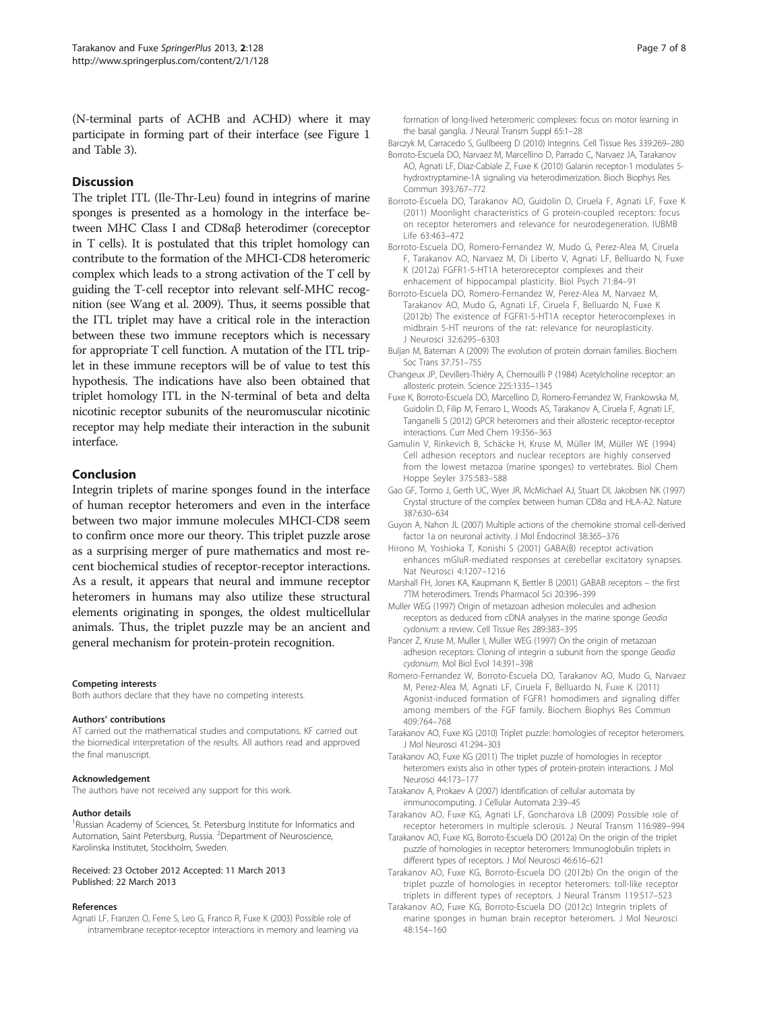<span id="page-6-0"></span>(N-terminal parts of ACHB and ACHD) where it may participate in forming part of their interface (see Figure [1](#page-4-0) and Table [3](#page-3-0)).

# **Discussion**

The triplet ITL (Ile-Thr-Leu) found in integrins of marine sponges is presented as a homology in the interface between MHC Class I and CD8αβ heterodimer (coreceptor in T cells). It is postulated that this triplet homology can contribute to the formation of the MHCI-CD8 heteromeric complex which leads to a strong activation of the T cell by guiding the T-cell receptor into relevant self-MHC recognition (see Wang et al. [2009](#page-7-0)). Thus, it seems possible that the ITL triplet may have a critical role in the interaction between these two immune receptors which is necessary for appropriate T cell function. A mutation of the ITL triplet in these immune receptors will be of value to test this hypothesis. The indications have also been obtained that triplet homology ITL in the N-terminal of beta and delta nicotinic receptor subunits of the neuromuscular nicotinic receptor may help mediate their interaction in the subunit interface.

# Conclusion

Integrin triplets of marine sponges found in the interface of human receptor heteromers and even in the interface between two major immune molecules MHCI-CD8 seem to confirm once more our theory. This triplet puzzle arose as a surprising merger of pure mathematics and most recent biochemical studies of receptor-receptor interactions. As a result, it appears that neural and immune receptor heteromers in humans may also utilize these structural elements originating in sponges, the oldest multicellular animals. Thus, the triplet puzzle may be an ancient and general mechanism for protein-protein recognition.

#### Competing interests

Both authors declare that they have no competing interests.

#### Authors' contributions

AT carried out the mathematical studies and computations. KF carried out the biomedical interpretation of the results. All authors read and approved the final manuscript.

#### Acknowledgement

The authors have not received any support for this work.

#### Author details

<sup>1</sup>Russian Academy of Sciences, St. Petersburg Institute for Informatics and Automation, Saint Petersburg, Russia. <sup>2</sup>Department of Neuroscience, Karolinska Institutet, Stockholm, Sweden.

#### Received: 23 October 2012 Accepted: 11 March 2013 Published: 22 March 2013

### References

Agnati LF, Franzen O, Ferre S, Leo G, Franco R, Fuxe K (2003) Possible role of intramembrane receptor-receptor interactions in memory and learning via formation of long-lived heteromeric complexes: focus on motor learning in the basal ganglia. J Neural Transm Suppl 65:1–28

Barczyk M, Carracedo S, Gullbeerg D (2010) Integrins. Cell Tissue Res 339:269–280

- Borroto-Escuela DO, Narvaez M, Marcellino D, Parrado C, Narvaez JA, Tarakanov AO, Agnati LF, Diaz-Cabiale Z, Fuxe K (2010) Galanin receptor-1 modulates 5 hydroxtryptamine-1A signaling via heterodimerization. Bioch Biophys Res Commun 393:767–772
- Borroto-Escuela DO, Tarakanov AO, Guidolin D, Ciruela F, Agnati LF, Fuxe K (2011) Moonlight characteristics of G protein-coupled receptors: focus on receptor heteromers and relevance for neurodegeneration. IUBMB Life 63:463–472
- Borroto-Escuela DO, Romero-Fernandez W, Mudo G, Perez-Alea M, Ciruela F, Tarakanov AO, Narvaez M, Di Liberto V, Agnati LF, Belluardo N, Fuxe K (2012a) FGFR1-5-HT1A heteroreceptor complexes and their enhacement of hippocampal plasticity. Biol Psych 71:84–91
- Borroto-Escuela DO, Romero-Fernandez W, Perez-Alea M, Narvaez M, Tarakanov AO, Mudo G, Agnati LF, Ciruela F, Belluardo N, Fuxe K (2012b) The existence of FGFR1-5-HT1A receptor heterocomplexes in midbrain 5-HT neurons of the rat: relevance for neuroplasticity. J Neurosci 32:6295–6303
- Buljan M, Bateman A (2009) The evolution of protein domain families. Biochem Soc Trans 37:751–755
- Changeux JP, Devillers-Thiéry A, Chemouilli P (1984) Acetylcholine receptor: an allosteric protein. Science 225:1335–1345
- Fuxe K, Borroto-Escuela DO, Marcellino D, Romero-Fernandez W, Frankowska M, Guidolin D, Filip M, Ferraro L, Woods AS, Tarakanov A, Ciruela F, Agnati LF, Tanganelli S (2012) GPCR heteromers and their allosteric receptor-receptor interactions. Curr Med Chem 19:356–363
- Gamulin V, Rinkevich B, Schäcke H, Kruse M, Müller IM, Müller WE (1994) Cell adhesion receptors and nuclear receptors are highly conserved from the lowest metazoa (marine sponges) to vertebrates. Biol Chem Hoppe Seyler 375:583–588
- Gao GF, Tormo J, Gerth UC, Wyer JR, McMichael AJ, Stuart DI, Jakobsen NK (1997) Crystal structure of the complex between human CD8α and HLA-A2. Nature 387:630–634
- Guyon A, Nahon JL (2007) Multiple actions of the chemokine stromal cell-derived factor 1a on neuronal activity. J Mol Endocrinol 38:365–376
- Hirono M, Yoshioka T, Konishi S (2001) GABA(B) receptor activation enhances mGluR-mediated responses at cerebellar excitatory synapses. Nat Neurosci 4:1207–1216
- Marshall FH, Jones KA, Kaupmann K, Bettler B (2001) GABAB receptors the first 7TM heterodimers. Trends Pharmacol Sci 20:396–399
- Muller WEG (1997) Origin of metazoan adhesion molecules and adhesion receptors as deduced from cDNA analyses in the marine sponge Geodia cydonium: a review. Cell Tissue Res 289:383–395
- Pancer Z, Kruse M, Muller I, Muller WEG (1997) On the origin of metazoan adhesion receptors: Cloning of integrin α subunit from the sponge Geodia cydonium. Mol Biol Evol 14:391–398
- Romero-Fernandez W, Borroto-Escuela DO, Tarakanov AO, Mudo G, Narvaez M, Perez-Alea M, Agnati LF, Ciruela F, Belluardo N, Fuxe K (2011) Agonist-induced formation of FGFR1 homodimers and signaling differ among members of the FGF family. Biochem Biophys Res Commun 409:764–768
- Tarakanov AO, Fuxe KG (2010) Triplet puzzle: homologies of receptor heteromers. J Mol Neurosci 41:294–303
- Tarakanov AO, Fuxe KG (2011) The triplet puzzle of homologies in receptor heteromers exists also in other types of protein-protein interactions. J Mol Neurosci 44:173–177
- Tarakanov A, Prokaev A (2007) Identification of cellular automata by immunocomputing. J Cellular Automata 2:39–45
- Tarakanov AO, Fuxe KG, Agnati LF, Goncharova LB (2009) Possible role of receptor heteromers in multiple sclerosis. J Neural Transm 116:989–994
- Tarakanov AO, Fuxe KG, Borroto-Escuela DO (2012a) On the origin of the triplet puzzle of homologies in receptor heteromers: Immunoglobulin triplets in different types of receptors. J Mol Neurosci 46:616–621
- Tarakanov AO, Fuxe KG, Borroto-Escuela DO (2012b) On the origin of the triplet puzzle of homologies in receptor heteromers: toll-like receptor triplets in different types of receptors. J Neural Transm 119:517–523
- Tarakanov AO, Fuxe KG, Borroto-Escuela DO (2012c) Integrin triplets of marine sponges in human brain receptor heteromers. J Mol Neurosci 48:154–160